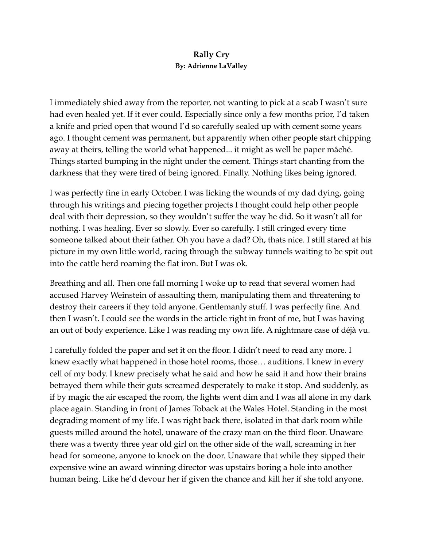## **Rally Cry By: Adrienne LaValley**

I immediately shied away from the reporter, not wanting to pick at a scab I wasn't sure had even healed yet. If it ever could. Especially since only a few months prior, I'd taken a knife and pried open that wound I'd so carefully sealed up with cement some years ago. I thought cement was permanent, but apparently when other people start chipping away at theirs, telling the world what happened... it might as well be paper mâché. Things started bumping in the night under the cement. Things start chanting from the darkness that they were tired of being ignored. Finally. Nothing likes being ignored.

I was perfectly fine in early October. I was licking the wounds of my dad dying, going through his writings and piecing together projects I thought could help other people deal with their depression, so they wouldn't suffer the way he did. So it wasn't all for nothing. I was healing. Ever so slowly. Ever so carefully. I still cringed every time someone talked about their father. Oh you have a dad? Oh, thats nice. I still stared at his picture in my own little world, racing through the subway tunnels waiting to be spit out into the cattle herd roaming the flat iron. But I was ok.

Breathing and all. Then one fall morning I woke up to read that several women had accused Harvey Weinstein of assaulting them, manipulating them and threatening to destroy their careers if they told anyone. Gentlemanly stuff. I was perfectly fine. And then I wasn't. I could see the words in the article right in front of me, but I was having an out of body experience. Like I was reading my own life. A nightmare case of déjà vu.

I carefully folded the paper and set it on the floor. I didn't need to read any more. I knew exactly what happened in those hotel rooms, those… auditions. I knew in every cell of my body. I knew precisely what he said and how he said it and how their brains betrayed them while their guts screamed desperately to make it stop. And suddenly, as if by magic the air escaped the room, the lights went dim and I was all alone in my dark place again. Standing in front of James Toback at the Wales Hotel. Standing in the most degrading moment of my life. I was right back there, isolated in that dark room while guests milled around the hotel, unaware of the crazy man on the third floor. Unaware there was a twenty three year old girl on the other side of the wall, screaming in her head for someone, anyone to knock on the door. Unaware that while they sipped their expensive wine an award winning director was upstairs boring a hole into another human being. Like he'd devour her if given the chance and kill her if she told anyone.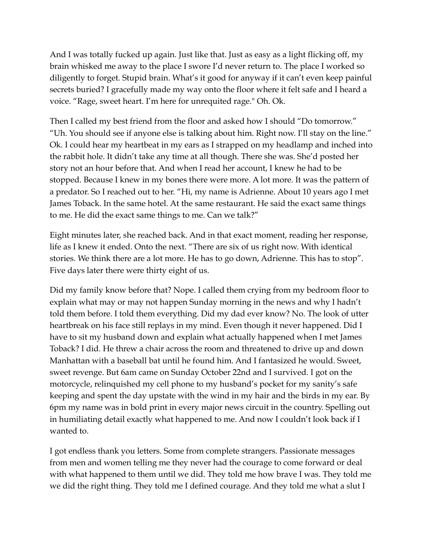And I was totally fucked up again. Just like that. Just as easy as a light flicking off, my brain whisked me away to the place I swore I'd never return to. The place I worked so diligently to forget. Stupid brain. What's it good for anyway if it can't even keep painful secrets buried? I gracefully made my way onto the floor where it felt safe and I heard a voice. "Rage, sweet heart. I'm here for unrequited rage." Oh. Ok.

Then I called my best friend from the floor and asked how I should "Do tomorrow." "Uh. You should see if anyone else is talking about him. Right now. I'll stay on the line." Ok. I could hear my heartbeat in my ears as I strapped on my headlamp and inched into the rabbit hole. It didn't take any time at all though. There she was. She'd posted her story not an hour before that. And when I read her account, I knew he had to be stopped. Because I knew in my bones there were more. A lot more. It was the pattern of a predator. So I reached out to her. "Hi, my name is Adrienne. About 10 years ago I met James Toback. In the same hotel. At the same restaurant. He said the exact same things to me. He did the exact same things to me. Can we talk?"

Eight minutes later, she reached back. And in that exact moment, reading her response, life as I knew it ended. Onto the next. "There are six of us right now. With identical stories. We think there are a lot more. He has to go down, Adrienne. This has to stop". Five days later there were thirty eight of us.

Did my family know before that? Nope. I called them crying from my bedroom floor to explain what may or may not happen Sunday morning in the news and why I hadn't told them before. I told them everything. Did my dad ever know? No. The look of utter heartbreak on his face still replays in my mind. Even though it never happened. Did I have to sit my husband down and explain what actually happened when I met James Toback? I did. He threw a chair across the room and threatened to drive up and down Manhattan with a baseball bat until he found him. And I fantasized he would. Sweet, sweet revenge. But 6am came on Sunday October 22nd and I survived. I got on the motorcycle, relinquished my cell phone to my husband's pocket for my sanity's safe keeping and spent the day upstate with the wind in my hair and the birds in my ear. By 6pm my name was in bold print in every major news circuit in the country. Spelling out in humiliating detail exactly what happened to me. And now I couldn't look back if I wanted to.

I got endless thank you letters. Some from complete strangers. Passionate messages from men and women telling me they never had the courage to come forward or deal with what happened to them until we did. They told me how brave I was. They told me we did the right thing. They told me I defined courage. And they told me what a slut I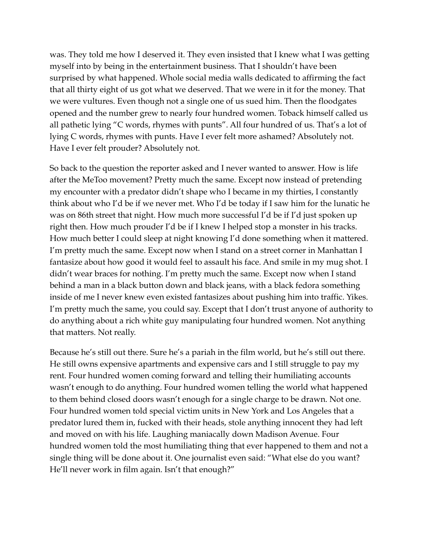was. They told me how I deserved it. They even insisted that I knew what I was getting myself into by being in the entertainment business. That I shouldn't have been surprised by what happened. Whole social media walls dedicated to affirming the fact that all thirty eight of us got what we deserved. That we were in it for the money. That we were vultures. Even though not a single one of us sued him. Then the floodgates opened and the number grew to nearly four hundred women. Toback himself called us all pathetic lying "C words, rhymes with punts". All four hundred of us. That's a lot of lying C words, rhymes with punts. Have I ever felt more ashamed? Absolutely not. Have I ever felt prouder? Absolutely not.

So back to the question the reporter asked and I never wanted to answer. How is life after the MeToo movement? Pretty much the same. Except now instead of pretending my encounter with a predator didn't shape who I became in my thirties, I constantly think about who I'd be if we never met. Who I'd be today if I saw him for the lunatic he was on 86th street that night. How much more successful I'd be if I'd just spoken up right then. How much prouder I'd be if I knew I helped stop a monster in his tracks. How much better I could sleep at night knowing I'd done something when it mattered. I'm pretty much the same. Except now when I stand on a street corner in Manhattan I fantasize about how good it would feel to assault his face. And smile in my mug shot. I didn't wear braces for nothing. I'm pretty much the same. Except now when I stand behind a man in a black button down and black jeans, with a black fedora something inside of me I never knew even existed fantasizes about pushing him into traffic. Yikes. I'm pretty much the same, you could say. Except that I don't trust anyone of authority to do anything about a rich white guy manipulating four hundred women. Not anything that matters. Not really.

Because he's still out there. Sure he's a pariah in the film world, but he's still out there. He still owns expensive apartments and expensive cars and I still struggle to pay my rent. Four hundred women coming forward and telling their humiliating accounts wasn't enough to do anything. Four hundred women telling the world what happened to them behind closed doors wasn't enough for a single charge to be drawn. Not one. Four hundred women told special victim units in New York and Los Angeles that a predator lured them in, fucked with their heads, stole anything innocent they had left and moved on with his life. Laughing maniacally down Madison Avenue. Four hundred women told the most humiliating thing that ever happened to them and not a single thing will be done about it. One journalist even said: "What else do you want? He'll never work in film again. Isn't that enough?"